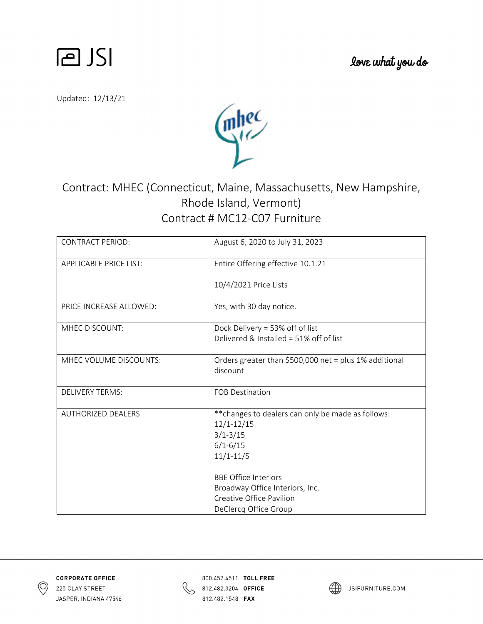

love what you do

Updated: 12/13/21



## Contract: MHEC (Connecticut, Maine, Massachusetts, New Hampshire, Rhode Island, Vermont) Contract # MC12‐C07 Furniture

| <b>CONTRACT PERIOD:</b>       | August 6, 2020 to July 31, 2023                        |
|-------------------------------|--------------------------------------------------------|
| <b>APPLICABLE PRICE LIST:</b> | Entire Offering effective 10.1.21                      |
|                               | 10/4/2021 Price Lists                                  |
| PRICE INCREASE ALLOWED:       | Yes, with 30 day notice.                               |
| MHEC DISCOUNT:                | Dock Delivery = 53% off of list                        |
|                               | Delivered & Installed = 51% off of list                |
| MHEC VOLUME DISCOUNTS:        | Orders greater than \$500,000 net = plus 1% additional |
|                               | discount                                               |
| <b>DELIVERY TERMS:</b>        | <b>FOB Destination</b>                                 |
| <b>AUTHORIZED DEALERS</b>     | ** changes to dealers can only be made as follows:     |
|                               | $12/1 - 12/15$                                         |
|                               | $3/1 - 3/15$                                           |
|                               | $6/1 - 6/15$                                           |
|                               | $11/1 - 11/5$                                          |
|                               | <b>BBE Office Interiors</b>                            |
|                               | Broadway Office Interiors, Inc.                        |
|                               | Creative Office Pavilion                               |
|                               | DeClercq Office Group                                  |